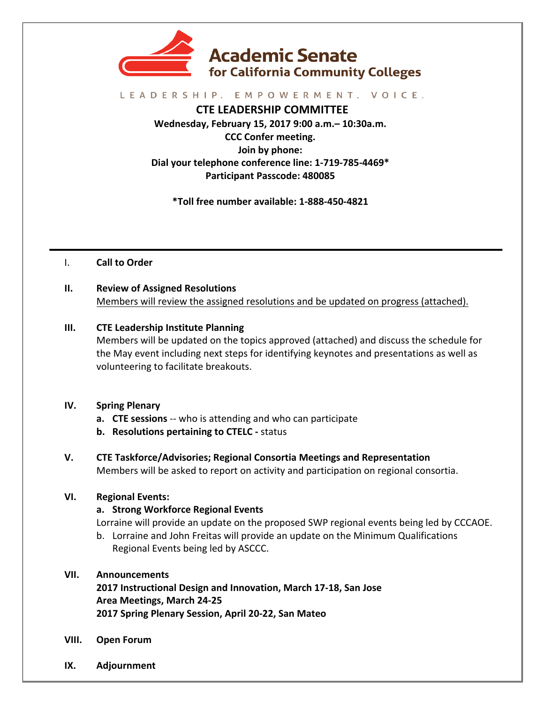

#### LEADERSHIP. EMPOWERMENT. VOICE.

**CTE LEADERSHIP COMMITTEE Wednesday, February 15, 2017 9:00 a.m.– 10:30a.m. CCC Confer meeting. Join by phone:** Dial your telephone conference line: 1-719-785-4469\* **Participant Passcode: 480085**

**\*Toll free number available: 1-888-450-4821**

I. **Call to Order**

**II.** Review of Assigned Resolutions Members will review the assigned resolutions and be updated on progress (attached).

#### **III.** CTE Leadership Institute Planning

Members will be updated on the topics approved (attached) and discuss the schedule for the May event including next steps for identifying keynotes and presentations as well as volunteering to facilitate breakouts.

#### **IV. Spring Plenary**

- **a.** CTE sessions -- who is attending and who can participate
- **b.** Resolutions pertaining to CTELC status
- **V. CTE Taskforce/Advisories; Regional Consortia Meetings and Representation** Members will be asked to report on activity and participation on regional consortia.

# **VI. Regional Events:**

# **a. Strong Workforce Regional Events**

Lorraine will provide an update on the proposed SWP regional events being led by CCCAOE.

b. Lorraine and John Freitas will provide an update on the Minimum Qualifications Regional Events being led by ASCCC.

# **VII. Announcements**

**2017 Instructional Design and Innovation, March 17-18, San Jose Area Meetings, March 24-25 2017 Spring Plenary Session, April 20-22, San Mateo**

- **VIII. Open Forum**
- **IX. Adjournment**